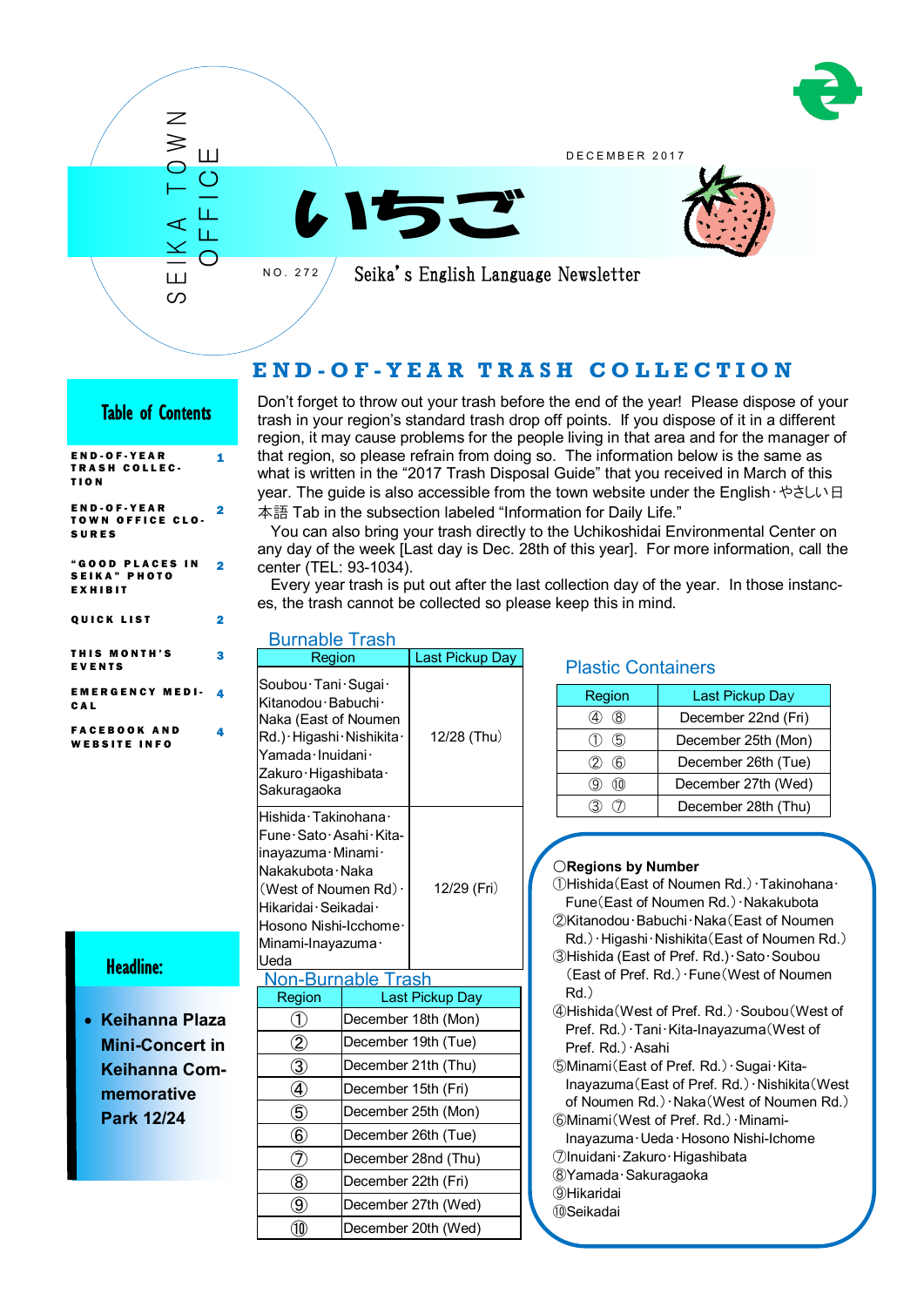

DECEMBER 2017





N O . 2 7 2 Seika's English Language Newsletter

# **E N D - O F - Y E A R T R A S H C O L L E C T I O N**

## Table of Contents

S E IK A T O W N

Ш တ

 $\overline{\mathcal{Z}}$  $\geqslant$ 

O F F I C E

|                                                                 |                         | region,                                                                  |
|-----------------------------------------------------------------|-------------------------|--------------------------------------------------------------------------|
| <b>END-OF-YEAR</b><br><b>TRASH COLLEC-</b><br><b>TION</b>       | 1                       | that reg<br>what is<br>year. T                                           |
| <b>END-OF-YEAR</b><br><b>TOWN OFFICE CLO-</b><br><b>SURES</b>   | $\overline{\mathbf{2}}$ | 本語 Ta<br>You o                                                           |
| <b>"GOOD PLACES IN</b><br><b>SEIKA" PHOTO</b><br><b>EXHIBIT</b> | $\overline{\mathbf{2}}$ | any da<br>center<br>Every<br>es, the                                     |
| <b>QUICK LIST</b>                                               | $\overline{\mathbf{2}}$ |                                                                          |
| <b>THIS MONTH'S</b><br><b>EVENTS</b>                            | 3                       | Burn                                                                     |
| <b>EMERGENCY MEDI-</b><br>CAL                                   | 4                       | Soubou<br>Kitanod                                                        |
| <b>FACEBOOK AND</b><br><b>WEBSITE INFO</b>                      | 4                       | Naka (E<br>Rd.) · Hi<br>Yamada<br>Zakuro<br>Sakura                       |
|                                                                 |                         | Hishida<br>Func·S<br>inayazu<br>Nakaku<br>(West of<br>Hikarida<br>Hosono |
| <b>Headline:</b>                                                |                         | <b>Minami-</b><br>Ueda                                                   |
|                                                                 |                         | <u>Non-</u><br>Regi                                                      |
| <b>Keihanna Plaza</b>                                           |                         | $\circled{1}$                                                            |
| <b>Mini-Concert in</b>                                          | $^\copyright$           |                                                                          |
| <b>Keihanna Com-</b>                                            | $\circled{3}$           |                                                                          |
| memorative                                                      | $\bigcircledA$          |                                                                          |
| <b>Park 12/24</b>                                               |                         | $\circledS$                                                              |
|                                                                 |                         | $\circledast$                                                            |
|                                                                 |                         | 7                                                                        |

Don't forget to throw out your trash before the end of the year! Please dispose of your trash in your region's standard trash drop off points. If you dispose of it in a different it may cause problems for the people living in that area and for the manager of gion, so please refrain from doing so. The information below is the same as written in the "2017 Trash Disposal Guide" that you received in March of this Ine quide is also accessible from the town website under the English・やさしい日 ab in the subsection labeled "Information for Daily Life."

can also bring your trash directly to the Uchikoshidai Environmental Center on y of the week [Last day is Dec. 28th of this year]. For more information, call the  $(TEL: 93-1034)$ .

y year trash is put out after the last collection day of the year. In those instanctrash cannot be collected so please keep this in mind.

### able Trash

| Soubou Tani Sugai<br>Kitanodou · Babuchi ·<br>Naka (East of Noumen<br>Rd.) · Higashi · Nishikita ·<br>12/28 (Thu)<br>Yamada Inuidani ·<br>Zakuro · Higashibata ·<br>Sakuragaoka<br>Hishida · Takinohana ·<br>Fune · Sato · Asahi · Kita-<br>inayazuma · Minami ·<br>Nakakubota · Naka<br>12/29 (Fri)<br>(West of Noumen Rd) ·<br>Hikaridai · Seikadai ·<br>Hosono Nishi-Icchome ·<br>Minami-Inayazuma·<br>Ueda<br>Non-Burnable Trash<br>Last Pickup Day<br>Region<br>December 18th (Mon)<br>$\textcircled{\scriptsize{1}}$<br>$^\copyright$<br>December 19th (Tue)<br>$\circled{3}$<br>December 21th (Thu)<br>④<br>December 15th (Fri)<br>$\circledS$<br>December 25th (Mon)<br>$^{\circledR}$<br>December 26th (Tue)<br>$^\text{\textregistered}$<br>December 28nd (Thu)<br>$^\circledR$<br>December 22th (Fri)<br>$^\circledR$<br>December 27th (Wed)<br>December 20th (Wed)<br>Պ | Region |  | Last Pickup Day |  |  |
|-------------------------------------------------------------------------------------------------------------------------------------------------------------------------------------------------------------------------------------------------------------------------------------------------------------------------------------------------------------------------------------------------------------------------------------------------------------------------------------------------------------------------------------------------------------------------------------------------------------------------------------------------------------------------------------------------------------------------------------------------------------------------------------------------------------------------------------------------------------------------------------|--------|--|-----------------|--|--|
|                                                                                                                                                                                                                                                                                                                                                                                                                                                                                                                                                                                                                                                                                                                                                                                                                                                                                     |        |  |                 |  |  |
|                                                                                                                                                                                                                                                                                                                                                                                                                                                                                                                                                                                                                                                                                                                                                                                                                                                                                     |        |  |                 |  |  |
|                                                                                                                                                                                                                                                                                                                                                                                                                                                                                                                                                                                                                                                                                                                                                                                                                                                                                     |        |  |                 |  |  |
|                                                                                                                                                                                                                                                                                                                                                                                                                                                                                                                                                                                                                                                                                                                                                                                                                                                                                     |        |  |                 |  |  |
|                                                                                                                                                                                                                                                                                                                                                                                                                                                                                                                                                                                                                                                                                                                                                                                                                                                                                     |        |  |                 |  |  |
|                                                                                                                                                                                                                                                                                                                                                                                                                                                                                                                                                                                                                                                                                                                                                                                                                                                                                     |        |  |                 |  |  |
|                                                                                                                                                                                                                                                                                                                                                                                                                                                                                                                                                                                                                                                                                                                                                                                                                                                                                     |        |  |                 |  |  |
|                                                                                                                                                                                                                                                                                                                                                                                                                                                                                                                                                                                                                                                                                                                                                                                                                                                                                     |        |  |                 |  |  |
|                                                                                                                                                                                                                                                                                                                                                                                                                                                                                                                                                                                                                                                                                                                                                                                                                                                                                     |        |  |                 |  |  |
|                                                                                                                                                                                                                                                                                                                                                                                                                                                                                                                                                                                                                                                                                                                                                                                                                                                                                     |        |  |                 |  |  |
|                                                                                                                                                                                                                                                                                                                                                                                                                                                                                                                                                                                                                                                                                                                                                                                                                                                                                     |        |  |                 |  |  |
|                                                                                                                                                                                                                                                                                                                                                                                                                                                                                                                                                                                                                                                                                                                                                                                                                                                                                     |        |  |                 |  |  |
|                                                                                                                                                                                                                                                                                                                                                                                                                                                                                                                                                                                                                                                                                                                                                                                                                                                                                     |        |  |                 |  |  |
|                                                                                                                                                                                                                                                                                                                                                                                                                                                                                                                                                                                                                                                                                                                                                                                                                                                                                     |        |  |                 |  |  |

## Plastic Containers

| Region    | Last Pickup Day     |  |  |  |
|-----------|---------------------|--|--|--|
| .8)<br>4  | December 22nd (Fri) |  |  |  |
| (5)       | December 25th (Mon) |  |  |  |
| 6)<br>(2) | December 26th (Tue) |  |  |  |
| q<br>(10) | December 27th (Wed) |  |  |  |
|           | December 28th (Thu) |  |  |  |

#### ○**Regions by Number** ①Hishida(East of Noumen Rd.)・Takinohana・ Fune(East of Noumen Rd.)・Nakakubota ②Kitanodou・Babuchi・Naka(East of Noumen Rd.)・Higashi・Nishikita(East of Noumen Rd.) ③Hishida (East of Pref. Rd.)・Sato・Soubou (East of Pref. Rd.)・Fune(West of Noumen Rd.) ④Hishida(West of Pref. Rd.)・Soubou(West of Pref. Rd.)・Tani・Kita-Inayazuma(West of Pref. Rd.)・Asahi ⑤Minami(East of Pref. Rd.)・Sugai・Kita-Inayazuma(East of Pref. Rd.)・Nishikita(West of Noumen Rd.)・Naka(West of Noumen Rd.) ⑥Minami(West of Pref. Rd.)・Minami-Inayazuma・Ueda・Hosono Nishi-Ichome ⑦Inuidani・Zakuro・Higashibata ⑧Yamada・Sakuragaoka ⑨Hikaridai

⑩Seikadai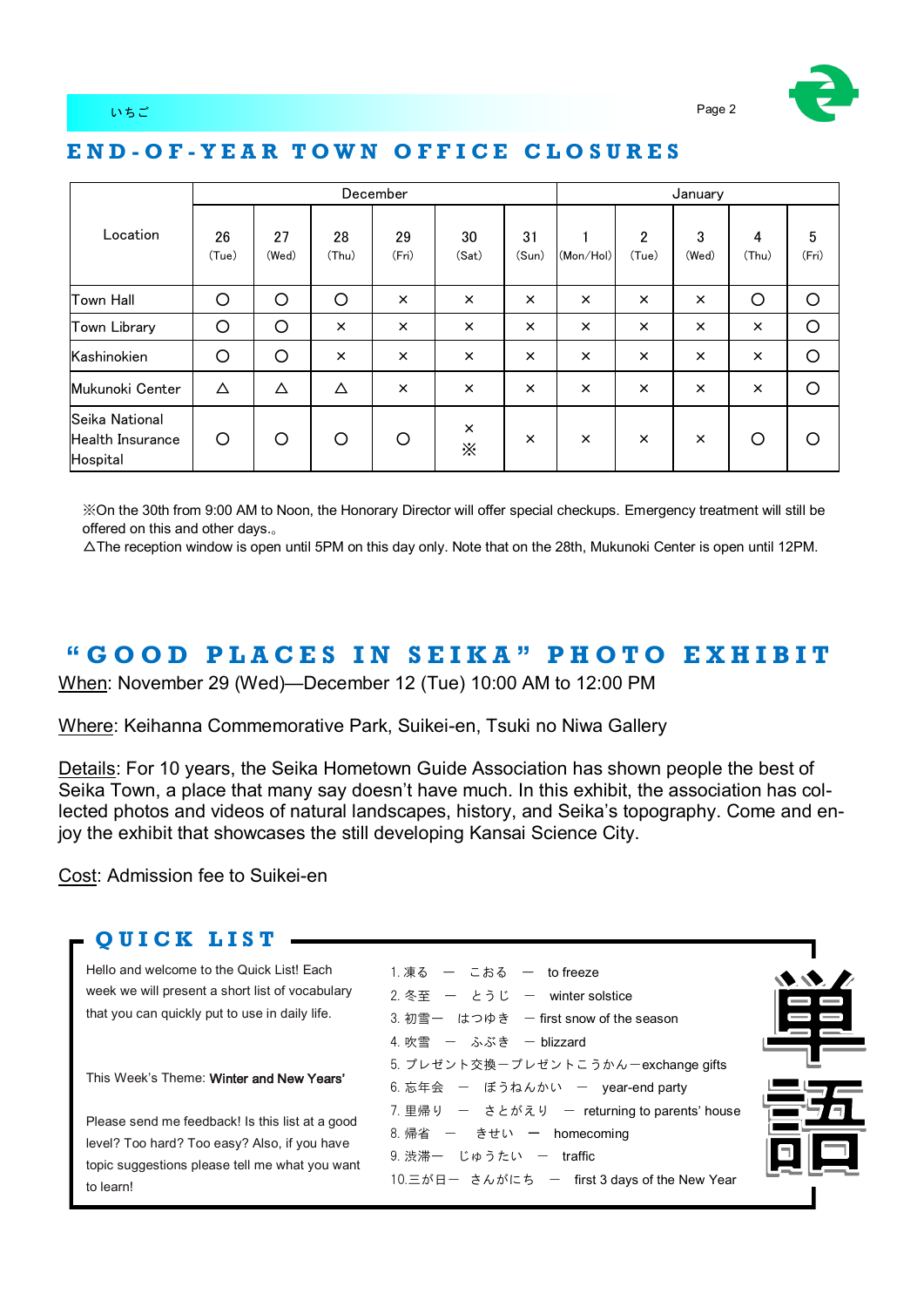

5

### いちご Page 2 とのこと アイディング・プログラム こうしょうかん こうしょうかい Page 2

#### Location December and a settlement of the settlement of the settlement of the settlement of the settlement of the settlement of the settlement of the settlement of the settlement of the settlement of the settlement of the settlemen 28 (Thu) 29 (Fri) 30  $(Sat)$ 31  $(S<sub>U</sub>)$ 1 (Mon/Hol) 2  $(T_{\text{He}})$ 3 (Wed) 4 (Thu) (Fri) 27 (Wed) 26  $(T_{\text{UE}})$ Town Hall ○ ○ ○ × × × × × × ○ ○ Town Library ○ ○ × × × × × × × × ○ Kashinokien | 〇 | 〇 | × | × | × | × | × | × | × | × | < | 〇 Mukunoki Center △ △ △ × × × × × × × ○ Seika National Health Insurance Hospital  $\circ$   $\circ$ × ※ ○ │ ○ │ ○ │ ○ │ <sub>◆</sub> │ × │ × │ × │ × │ ○ │ ○

# **E N D - O F - Y E A R T O W N O F F I C E C L O S U R E S**

※On the 30th from 9:00 AM to Noon, the Honorary Director will offer special checkups. Emergency treatment will still be offered on this and other days.。

 $\triangle$ The reception window is open until 5PM on this day only. Note that on the 28th, Mukunoki Center is open until 12PM.

# **" G O O D P L A C E S I N S E I K A " P H O T O E X H I B I T**

When: November 29 (Wed)—December 12 (Tue) 10:00 AM to 12:00 PM

Where: Keihanna Commemorative Park, Suikei-en, Tsuki no Niwa Gallery

Details: For 10 years, the Seika Hometown Guide Association has shown people the best of Seika Town, a place that many say doesn't have much. In this exhibit, the association has collected photos and videos of natural landscapes, history, and Seika's topography. Come and enjoy the exhibit that showcases the still developing Kansai Science City.

Cost: Admission fee to Suikei-en

### **QUICK LIST -**

Hello and welcome to the Quick List! Each week we will present a short list of vocabulary that you can quickly put to use in daily life.

This Week's Theme: Winter and New Years'

Please send me feedback! Is this list at a good level? Too hard? Too easy? Also, if you have topic suggestions please tell me what you want to learn!

| 1.凍る ― こおる ― to freeze                        |  |
|-----------------------------------------------|--|
| 2. 冬至 ー とうじ ー winter solstice                 |  |
| 3. 初雪一 はつゆき – first snow of the season        |  |
| 4. 吹雪 ー ふぶき ー blizzard                        |  |
| 5. プレゼント交換ープレゼントこうかんーexchange gifts           |  |
| 6. 忘年会 ー ぼうねんかい ー year-end party              |  |
| 7. 里帰り ー さとがえり ー returning to parents' house  |  |
| 8. 帰省 ー  きせい 一  homecoming                    |  |
| 9. 渋滞一 じゅうたい – traffic                        |  |
| 10. 三が日ー さんがにち ー first 3 days of the New Year |  |
|                                               |  |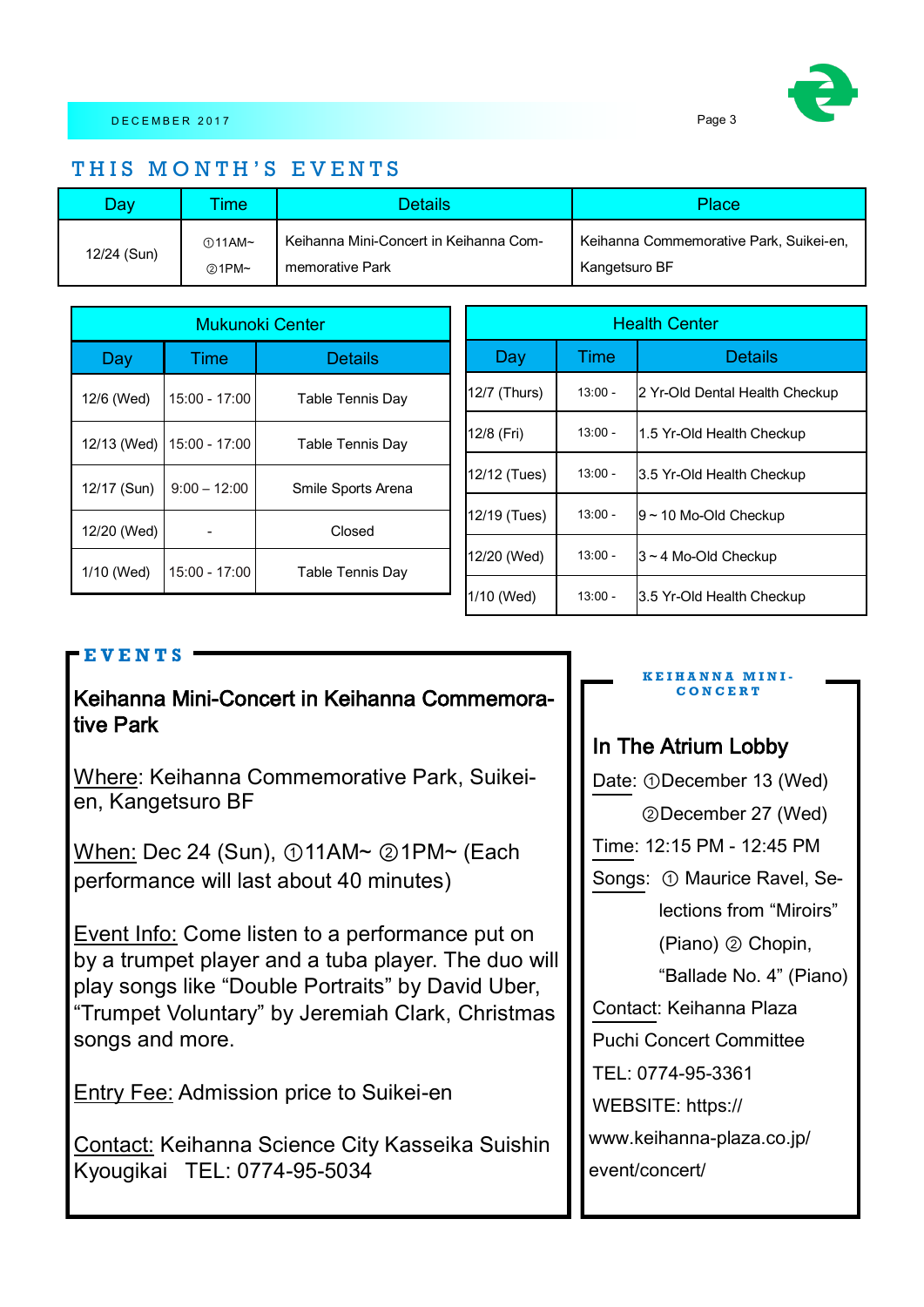

## THIS MONTH'S EVENTS

| Day         | ime      | Details                                | Place                                   |
|-------------|----------|----------------------------------------|-----------------------------------------|
| 12/24 (Sun) | $@11AM-$ | Keihanna Mini-Concert in Keihanna Com- | Keihanna Commemorative Park, Suikei-en, |
|             | @1PM~    | memorative Park                        | Kangetsuro BF                           |

|             | Mukunoki Center |                    | <b>Health Center</b> |              |             |                                |
|-------------|-----------------|--------------------|----------------------|--------------|-------------|--------------------------------|
| Day         | Time            | <b>Details</b>     |                      | Day          | <b>Time</b> | <b>Details</b>                 |
| 12/6 (Wed)  | 15:00 - 17:00   | Table Tennis Day   |                      | 12/7 (Thurs) | $13:00 -$   | 2 Yr-Old Dental Health Checkup |
| 12/13 (Wed) | 15:00 - 17:00   | Table Tennis Day   |                      | 12/8 (Fri)   | $13:00 -$   | 1.5 Yr-Old Health Checkup      |
| 12/17 (Sun) | $9:00 - 12:00$  | Smile Sports Arena |                      | 12/12 (Tues) | $13:00 -$   | 3.5 Yr-Old Health Checkup      |
| 12/20 (Wed) |                 | Closed             |                      | 12/19 (Tues) | $13:00 -$   | $9 - 10$ Mo-Old Checkup        |
|             |                 |                    |                      | 12/20 (Wed)  | $13:00 -$   | $3 - 4$ Mo-Old Checkup         |
| 1/10 (Wed)  | 15:00 - 17:00   | Table Tennis Day   |                      | 1/10 (Wed)   | $13:00 -$   | 3.5 Yr-Old Health Checkup      |

# **E V E N T S**

# Keihanna Mini-Concert in Keihanna Commemorative Park

Where: Keihanna Commemorative Park, Suikeien, Kangetsuro BF

When: Dec 24 (Sun), ①11AM~ ②1PM~ (Each performance will last about 40 minutes)

Event Info: Come listen to a performance put on by a trumpet player and a tuba player. The duo will play songs like "Double Portraits" by David Uber, "Trumpet Voluntary" by Jeremiah Clark, Christmas songs and more.

Entry Fee: Admission price to Suikei-en

Contact: Keihanna Science City Kasseika Suishin Kyougikai TEL: 0774-95-5034

#### **K E I H A N N A M I N I - C O N C E R T**

# In The Atrium Lobby

Date: ①December 13 (Wed) ②December 27 (Wed) Time: 12:15 PM - 12:45 PM Songs: ① Maurice Ravel, Selections from "Miroirs" (Piano) ② Chopin, "Ballade No. 4" (Piano) Contact: Keihanna Plaza Puchi Concert Committee TEL: 0774-95-3361 WEBSITE: https:// www.keihanna-plaza.co.jp/ event/concert/